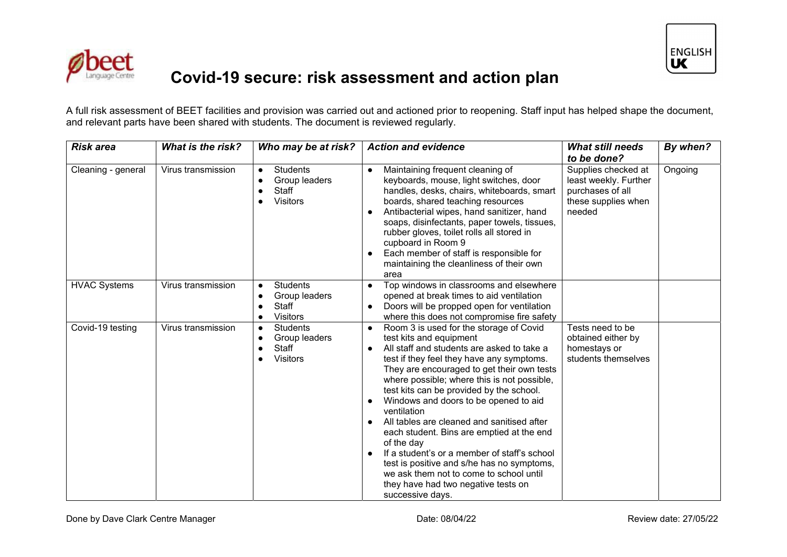



## **Covid-19 secure: risk assessment and action plan**

A full risk assessment of BEET facilities and provision was carried out and actioned prior to reopening. Staff input has helped shape the document, and relevant parts have been shared with students. The document is reviewed regularly.

| <b>Risk area</b>    | <b>What is the risk?</b> | Who may be at risk?                                                                                 | <b>Action and evidence</b>                                                                                                                                                                                                                                                                                                                                                                                                                                                                                                                                                                                                                                                  | <b>What still needs</b>                                                                           | By when? |
|---------------------|--------------------------|-----------------------------------------------------------------------------------------------------|-----------------------------------------------------------------------------------------------------------------------------------------------------------------------------------------------------------------------------------------------------------------------------------------------------------------------------------------------------------------------------------------------------------------------------------------------------------------------------------------------------------------------------------------------------------------------------------------------------------------------------------------------------------------------------|---------------------------------------------------------------------------------------------------|----------|
|                     |                          |                                                                                                     |                                                                                                                                                                                                                                                                                                                                                                                                                                                                                                                                                                                                                                                                             | to be done?                                                                                       |          |
| Cleaning - general  | Virus transmission       | <b>Students</b><br>$\bullet$<br>Group leaders<br>$\bullet$<br>Staff<br>$\bullet$<br><b>Visitors</b> | Maintaining frequent cleaning of<br>keyboards, mouse, light switches, door<br>handles, desks, chairs, whiteboards, smart<br>boards, shared teaching resources<br>Antibacterial wipes, hand sanitizer, hand<br>soaps, disinfectants, paper towels, tissues,<br>rubber gloves, toilet rolls all stored in<br>cupboard in Room 9<br>Each member of staff is responsible for<br>maintaining the cleanliness of their own<br>area                                                                                                                                                                                                                                                | Supplies checked at<br>least weekly. Further<br>purchases of all<br>these supplies when<br>needed | Ongoing  |
| <b>HVAC Systems</b> | Virus transmission       | <b>Students</b><br>$\bullet$<br>Group leaders<br>Staff<br><b>Visitors</b>                           | Top windows in classrooms and elsewhere<br>opened at break times to aid ventilation<br>Doors will be propped open for ventilation<br>where this does not compromise fire safety                                                                                                                                                                                                                                                                                                                                                                                                                                                                                             |                                                                                                   |          |
| Covid-19 testing    | Virus transmission       | <b>Students</b><br>$\bullet$<br>Group leaders<br>$\bullet$<br>Staff<br><b>Visitors</b>              | Room 3 is used for the storage of Covid<br>test kits and equipment<br>All staff and students are asked to take a<br>test if they feel they have any symptoms.<br>They are encouraged to get their own tests<br>where possible; where this is not possible,<br>test kits can be provided by the school.<br>Windows and doors to be opened to aid<br>ventilation<br>All tables are cleaned and sanitised after<br>each student. Bins are emptied at the end<br>of the day<br>If a student's or a member of staff's school<br>test is positive and s/he has no symptoms,<br>we ask them not to come to school until<br>they have had two negative tests on<br>successive days. | Tests need to be<br>obtained either by<br>homestays or<br>students themselves                     |          |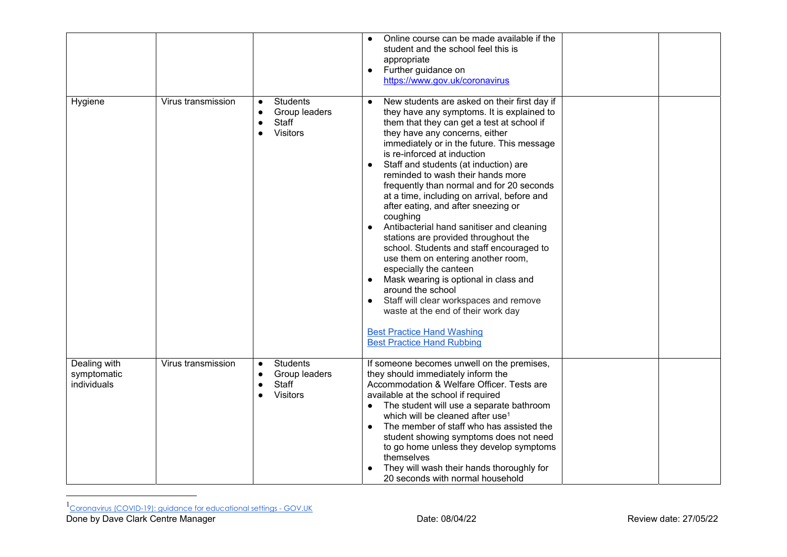|                                            |                    |                                                                    | Online course can be made available if the<br>student and the school feel this is<br>appropriate<br>Further guidance on<br>$\bullet$<br>https://www.gov.uk/coronavirus                                                                                                                                                                                                                                                                                                                                                                                                                                                                                                                                                                                                                                                                                                                                                                  |  |
|--------------------------------------------|--------------------|--------------------------------------------------------------------|-----------------------------------------------------------------------------------------------------------------------------------------------------------------------------------------------------------------------------------------------------------------------------------------------------------------------------------------------------------------------------------------------------------------------------------------------------------------------------------------------------------------------------------------------------------------------------------------------------------------------------------------------------------------------------------------------------------------------------------------------------------------------------------------------------------------------------------------------------------------------------------------------------------------------------------------|--|
| Hygiene                                    | Virus transmission | <b>Students</b><br>Group leaders<br>Staff<br>Visitors              | New students are asked on their first day if<br>$\bullet$<br>they have any symptoms. It is explained to<br>them that they can get a test at school if<br>they have any concerns, either<br>immediately or in the future. This message<br>is re-inforced at induction<br>Staff and students (at induction) are<br>reminded to wash their hands more<br>frequently than normal and for 20 seconds<br>at a time, including on arrival, before and<br>after eating, and after sneezing or<br>coughing<br>Antibacterial hand sanitiser and cleaning<br>$\bullet$<br>stations are provided throughout the<br>school. Students and staff encouraged to<br>use them on entering another room,<br>especially the canteen<br>Mask wearing is optional in class and<br>around the school<br>Staff will clear workspaces and remove<br>waste at the end of their work day<br><b>Best Practice Hand Washing</b><br><b>Best Practice Hand Rubbing</b> |  |
| Dealing with<br>symptomatic<br>individuals | Virus transmission | Students<br>$\bullet$<br>Group leaders<br>Staff<br><b>Visitors</b> | If someone becomes unwell on the premises,<br>they should immediately inform the<br>Accommodation & Welfare Officer. Tests are<br>available at the school if required<br>The student will use a separate bathroom<br>which will be cleaned after use <sup>1</sup><br>The member of staff who has assisted the<br>student showing symptoms does not need<br>to go home unless they develop symptoms<br>themselves<br>They will wash their hands thoroughly for<br>20 seconds with normal household                                                                                                                                                                                                                                                                                                                                                                                                                                       |  |

 $^{\rm 1}$ Coronavirus (COVID-19): guidance for educational settings - GOV.UK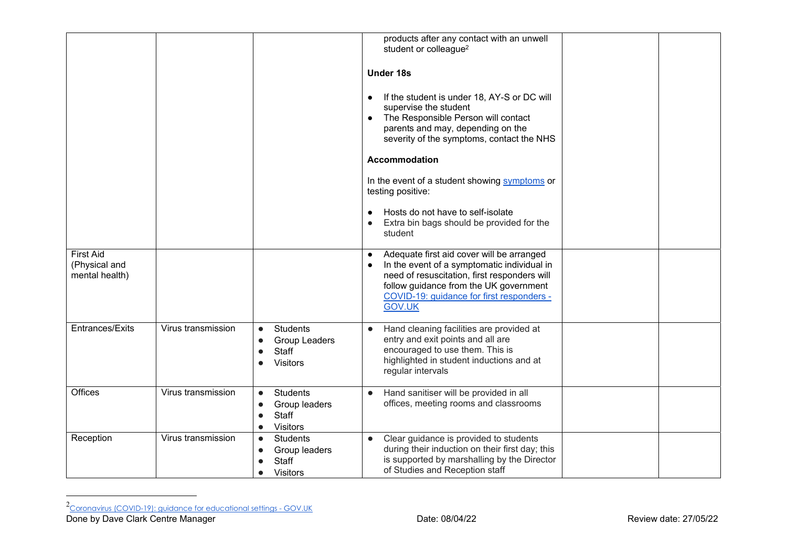|                                                     |                    |                                                                                        | products after any contact with an unwell<br>student or colleague <sup>2</sup><br><b>Under 18s</b><br>If the student is under 18, AY-S or DC will<br>$\bullet$<br>supervise the student<br>The Responsible Person will contact<br>parents and may, depending on the<br>severity of the symptoms, contact the NHS |  |
|-----------------------------------------------------|--------------------|----------------------------------------------------------------------------------------|------------------------------------------------------------------------------------------------------------------------------------------------------------------------------------------------------------------------------------------------------------------------------------------------------------------|--|
|                                                     |                    |                                                                                        | <b>Accommodation</b>                                                                                                                                                                                                                                                                                             |  |
|                                                     |                    |                                                                                        | In the event of a student showing symptoms or<br>testing positive:                                                                                                                                                                                                                                               |  |
|                                                     |                    |                                                                                        | Hosts do not have to self-isolate<br>Extra bin bags should be provided for the<br>student                                                                                                                                                                                                                        |  |
| <b>First Aid</b><br>(Physical and<br>mental health) |                    |                                                                                        | Adequate first aid cover will be arranged<br>$\bullet$<br>In the event of a symptomatic individual in<br>need of resuscitation, first responders will<br>follow guidance from the UK government<br>COVID-19: guidance for first responders -<br><b>GOV.UK</b>                                                    |  |
| Entrances/Exits                                     | Virus transmission | <b>Students</b><br>$\bullet$<br>Group Leaders<br>Staff<br><b>Visitors</b>              | Hand cleaning facilities are provided at<br>$\bullet$<br>entry and exit points and all are<br>encouraged to use them. This is<br>highlighted in student inductions and at<br>regular intervals                                                                                                                   |  |
| Offices                                             | Virus transmission | <b>Students</b><br>$\bullet$<br>Group leaders<br>Staff<br><b>Visitors</b>              | Hand sanitiser will be provided in all<br>$\bullet$<br>offices, meeting rooms and classrooms                                                                                                                                                                                                                     |  |
| Reception                                           | Virus transmission | <b>Students</b><br>$\bullet$<br>Group leaders<br>Staff<br><b>Visitors</b><br>$\bullet$ | Clear guidance is provided to students<br>$\bullet$<br>during their induction on their first day; this<br>is supported by marshalling by the Director<br>of Studies and Reception staff                                                                                                                          |  |

 $^2$ Coronavirus (COVID-19): guidance for educational settings - GOV.UK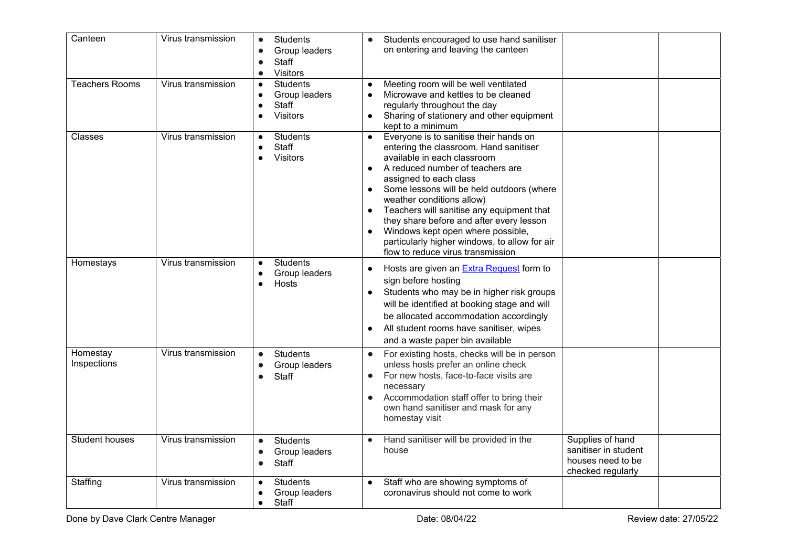| Canteen                 | Virus transmission | Students<br>$\bullet$<br>Group leaders<br>Staff<br><b>Visitors</b><br>$\bullet$  | Students encouraged to use hand sanitiser<br>$\bullet$<br>on entering and leaving the canteen                                                                                                                                                                                                                                                                                                                                                                                                                                                |                                                                                    |
|-------------------------|--------------------|----------------------------------------------------------------------------------|----------------------------------------------------------------------------------------------------------------------------------------------------------------------------------------------------------------------------------------------------------------------------------------------------------------------------------------------------------------------------------------------------------------------------------------------------------------------------------------------------------------------------------------------|------------------------------------------------------------------------------------|
| <b>Teachers Rooms</b>   | Virus transmission | <b>Students</b><br>$\bullet$<br>Group leaders<br>Staff<br><b>Visitors</b>        | Meeting room will be well ventilated<br>$\bullet$<br>Microwave and kettles to be cleaned<br>$\bullet$<br>regularly throughout the day<br>Sharing of stationery and other equipment<br>$\bullet$<br>kept to a minimum                                                                                                                                                                                                                                                                                                                         |                                                                                    |
| Classes                 | Virus transmission | <b>Students</b><br>Staff<br>$\bullet$<br>Visitors                                | Everyone is to sanitise their hands on<br>$\bullet$<br>entering the classroom. Hand sanitiser<br>available in each classroom<br>A reduced number of teachers are<br>$\bullet$<br>assigned to each class<br>Some lessons will be held outdoors (where<br>$\bullet$<br>weather conditions allow)<br>Teachers will sanitise any equipment that<br>$\bullet$<br>they share before and after every lesson<br>Windows kept open where possible,<br>$\bullet$<br>particularly higher windows, to allow for air<br>flow to reduce virus transmission |                                                                                    |
| Homestays               | Virus transmission | <b>Students</b><br>$\bullet$<br>Group leaders<br>Hosts<br>$\bullet$              | Hosts are given an <b>Extra Request</b> form to<br>$\bullet$<br>sign before hosting<br>Students who may be in higher risk groups<br>$\bullet$<br>will be identified at booking stage and will<br>be allocated accommodation accordingly<br>All student rooms have sanitiser, wipes<br>$\bullet$<br>and a waste paper bin available                                                                                                                                                                                                           |                                                                                    |
| Homestay<br>Inspections | Virus transmission | Students<br>$\bullet$<br>Group leaders<br>$\bullet$<br>Staff                     | For existing hosts, checks will be in person<br>$\bullet$<br>unless hosts prefer an online check<br>For new hosts, face-to-face visits are<br>$\bullet$<br>necessary<br>Accommodation staff offer to bring their<br>$\bullet$<br>own hand sanitiser and mask for any<br>homestay visit                                                                                                                                                                                                                                                       |                                                                                    |
| <b>Student houses</b>   | Virus transmission | <b>Students</b><br>$\bullet$<br>Group leaders<br>$\bullet$<br>Staff<br>$\bullet$ | Hand sanitiser will be provided in the<br>$\bullet$<br>house                                                                                                                                                                                                                                                                                                                                                                                                                                                                                 | Supplies of hand<br>sanitiser in student<br>houses need to be<br>checked regularly |
| Staffing                | Virus transmission | <b>Students</b><br>$\bullet$<br>Group leaders<br>Staff<br>$\bullet$              | Staff who are showing symptoms of<br>$\bullet$<br>coronavirus should not come to work                                                                                                                                                                                                                                                                                                                                                                                                                                                        |                                                                                    |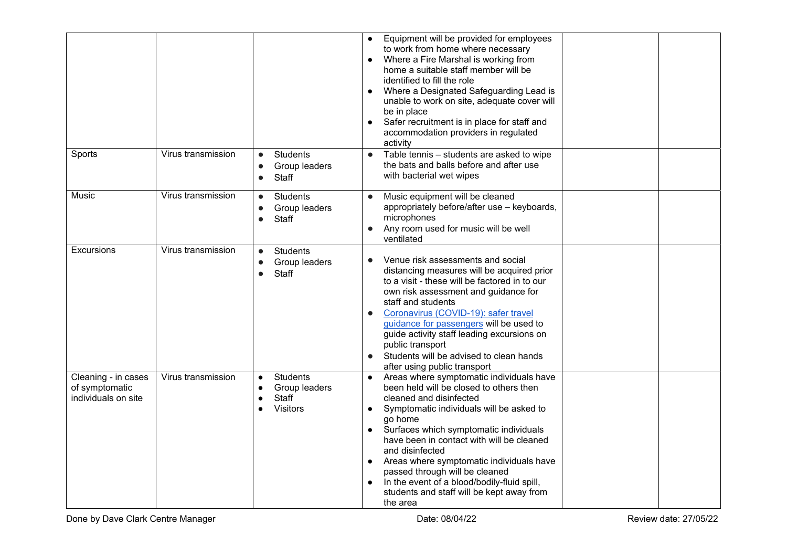|                                                              |                    |                                                                           | Equipment will be provided for employees<br>to work from home where necessary<br>Where a Fire Marshal is working from<br>$\bullet$<br>home a suitable staff member will be<br>identified to fill the role<br>Where a Designated Safeguarding Lead is<br>$\bullet$<br>unable to work on site, adequate cover will<br>be in place<br>Safer recruitment is in place for staff and<br>$\bullet$<br>accommodation providers in regulated<br>activity                                                                                        |
|--------------------------------------------------------------|--------------------|---------------------------------------------------------------------------|----------------------------------------------------------------------------------------------------------------------------------------------------------------------------------------------------------------------------------------------------------------------------------------------------------------------------------------------------------------------------------------------------------------------------------------------------------------------------------------------------------------------------------------|
| Sports                                                       | Virus transmission | <b>Students</b><br>$\bullet$<br>Group leaders<br>Staff                    | Table tennis - students are asked to wipe<br>$\bullet$<br>the bats and balls before and after use<br>with bacterial wet wipes                                                                                                                                                                                                                                                                                                                                                                                                          |
| Music                                                        | Virus transmission | <b>Students</b><br>$\bullet$<br>Group leaders<br>Staff<br>$\bullet$       | Music equipment will be cleaned<br>$\bullet$<br>appropriately before/after use - keyboards,<br>microphones<br>Any room used for music will be well<br>$\bullet$<br>ventilated                                                                                                                                                                                                                                                                                                                                                          |
| <b>Excursions</b>                                            | Virus transmission | <b>Students</b><br>$\bullet$<br>Group leaders<br>$\bullet$<br>Staff       | Venue risk assessments and social<br>distancing measures will be acquired prior<br>to a visit - these will be factored in to our<br>own risk assessment and guidance for<br>staff and students<br>Coronavirus (COVID-19): safer travel<br>guidance for passengers will be used to<br>guide activity staff leading excursions on<br>public transport<br>Students will be advised to clean hands<br>$\bullet$<br>after using public transport                                                                                            |
| Cleaning - in cases<br>of symptomatic<br>individuals on site | Virus transmission | <b>Students</b><br>$\bullet$<br>Group leaders<br>Staff<br><b>Visitors</b> | Areas where symptomatic individuals have<br>$\bullet$<br>been held will be closed to others then<br>cleaned and disinfected<br>Symptomatic individuals will be asked to<br>$\bullet$<br>go home<br>Surfaces which symptomatic individuals<br>$\bullet$<br>have been in contact with will be cleaned<br>and disinfected<br>Areas where symptomatic individuals have<br>$\bullet$<br>passed through will be cleaned<br>In the event of a blood/bodily-fluid spill,<br>$\bullet$<br>students and staff will be kept away from<br>the area |